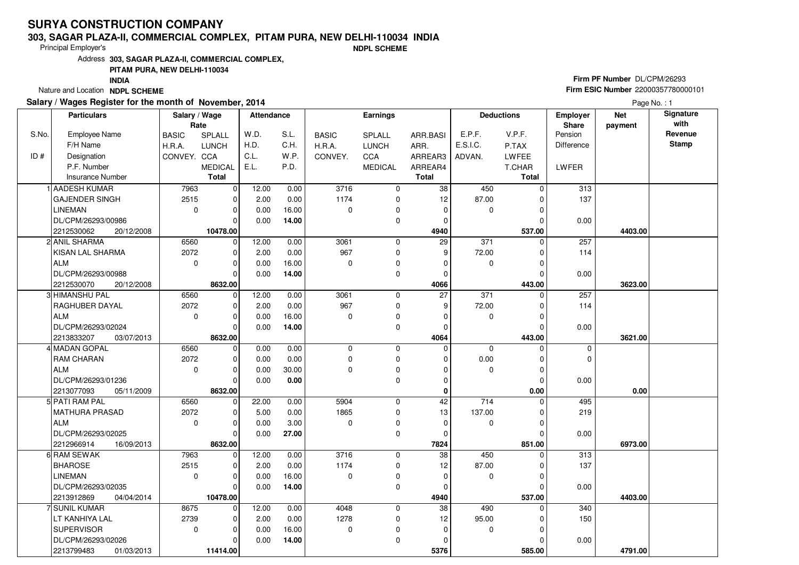# **SURYA CONSTRUCTION COMPANY**

#### **303, SAGAR PLAZA-II, COMMERCIAL COMPLEX, PITAM PURA, NEW DELHI-110034 INDIA**

Principal Employer's

**NDPL SCHEME**

Address**303, SAGAR PLAZA-II, COMMERCIAL COMPLEX,**

## **PITAM PURA, NEW DELHI-110034**

**INDIA**

Nature and Location **NDPL SCHEME** 

## **Salary / Wages Register for the month of November, 2014**

## **Firm PF Number** DL/CPM/26293 **Firm ESIC Number** 22000357780000101

Page No. : 1

|       | <b>Particulars</b>       | Salary / Wage<br>Rate |                | <b>Attendance</b> |       | <b>Earnings</b>  |                |                 | <b>Deductions</b> |               | Employer<br>Share | <b>Net</b><br>payment | Signature<br>with |
|-------|--------------------------|-----------------------|----------------|-------------------|-------|------------------|----------------|-----------------|-------------------|---------------|-------------------|-----------------------|-------------------|
| S.No. | <b>Employee Name</b>     | <b>BASIC</b>          | SPLALL         | W.D.              | S.L.  | <b>BASIC</b>     | SPLALL         | ARR.BASI        | E.P.F.            | V.P.F.        | Pension           |                       | Revenue           |
|       | F/H Name                 | H.R.A.                | <b>LUNCH</b>   | H.D.              | C.H.  | H.R.A.           | <b>LUNCH</b>   | ARR.            | E.S.I.C.          | P.TAX         | Difference        |                       | <b>Stamp</b>      |
| ID#   | Designation              | CONVEY. CCA           |                | C.L.              | W.P.  | CONVEY.          | CCA            | ARREAR3         | ADVAN.            | <b>LWFEE</b>  |                   |                       |                   |
|       | P.F. Number              |                       | <b>MEDICAL</b> | E.L.              | P.D.  |                  | <b>MEDICAL</b> | ARREAR4         |                   | T.CHAR        | LWFER             |                       |                   |
|       | <b>Insurance Number</b>  |                       | Total          |                   |       |                  |                | <b>Total</b>    |                   | <b>Total</b>  |                   |                       |                   |
|       | 1 AADESH KUMAR           | 7963                  | $\overline{0}$ | 12.00             | 0.00  | $\frac{1}{3716}$ | 0              | 38              | 450               | $\Omega$      | 313               |                       |                   |
|       | <b>GAJENDER SINGH</b>    | 2515                  | $\mathbf 0$    | 2.00              | 0.00  | 1174             | $\mathbf 0$    | 12              | 87.00             |               | 137               |                       |                   |
|       | <b>LINEMAN</b>           | $\mathbf 0$           | $\mathbf 0$    | 0.00              | 16.00 | $\Omega$         | 0              | $\mathbf 0$     | $\mathbf{0}$      | $\Omega$      |                   |                       |                   |
|       | DL/CPM/26293/00986       |                       | $\overline{0}$ | 0.00              | 14.00 |                  | 0              | $\Omega$        |                   | C             | 0.00              |                       |                   |
|       | 2212530062<br>20/12/2008 |                       | 10478.00       |                   |       |                  |                | 4940            |                   | 537.00        |                   | 4403.00               |                   |
|       | 2 ANIL SHARMA            | 6560                  | 0              | 12.00             | 0.00  | 3061             | $\mathbf 0$    | $\overline{29}$ | 371               | $\Omega$      | 257               |                       |                   |
|       | KISAN LAL SHARMA         | 2072                  | $\mathbf 0$    | 2.00              | 0.00  | 967              | $\mathbf 0$    | 9               | 72.00             | $\Omega$      | 114               |                       |                   |
|       | <b>ALM</b>               | $\mathbf 0$           | $\mathbf 0$    | 0.00              | 16.00 | 0                | 0              | $\Omega$        | 0                 | $\Omega$      |                   |                       |                   |
|       | DL/CPM/26293/00988       |                       | $\Omega$       | 0.00              | 14.00 |                  | 0              | $\Omega$        |                   | $\Omega$      | 0.00              |                       |                   |
|       | 2212530070<br>20/12/2008 |                       | 8632.00        |                   |       |                  |                | 4066            |                   | 443.00        |                   | 3623.00               |                   |
|       | 3 HIMANSHU PAL           | 6560                  | $\mathbf 0$    | 12.00             | 0.00  | 3061             | 0              | $\overline{27}$ | 371               | $\Omega$      | 257               |                       |                   |
|       | RAGHUBER DAYAL           | 2072                  | $\mathbf 0$    | 2.00              | 0.00  | 967              | 0              | 9               | 72.00             |               | 114               |                       |                   |
|       | <b>ALM</b>               | $\mathbf 0$           | $\mathbf 0$    | 0.00              | 16.00 | 0                | 0              | $\mathbf 0$     | 0                 | $\Omega$      |                   |                       |                   |
|       | DL/CPM/26293/02024       |                       | $\Omega$       | 0.00              | 14.00 |                  | 0              | $\Omega$        |                   | $\mathcal{C}$ | 0.00              |                       |                   |
|       | 2213833207<br>03/07/2013 |                       | 8632.00        |                   |       |                  |                | 4064            |                   | 443.00        |                   | 3621.00               |                   |
|       | 4 MADAN GOPAL            | 6560                  | $\mathbf 0$    | 0.00              | 0.00  | $\mathbf 0$      | $\mathbf 0$    | $\mathbf 0$     | $\mathbf 0$       | $\Omega$      | $\mathbf 0$       |                       |                   |
|       | <b>RAM CHARAN</b>        | 2072                  | $\mathbf 0$    | 0.00              | 0.00  | $\Omega$         | 0              | $\Omega$        | 0.00              | $\Omega$      | $\mathbf 0$       |                       |                   |
|       | <b>ALM</b>               | $\mathbf 0$           | $\mathbf 0$    | 0.00              | 30.00 | 0                | 0              | $\Omega$        | $\mathbf 0$       | 0             |                   |                       |                   |
|       | DL/CPM/26293/01236       |                       | $\Omega$       | 0.00              | 0.00  |                  | 0              | $\Omega$        |                   | $\Omega$      | 0.00              |                       |                   |
|       | 2213077093<br>05/11/2009 |                       | 8632.00        |                   |       |                  |                | 0               |                   | 0.00          |                   | 0.00                  |                   |
|       | 5 PATI RAM PAL           | 6560                  | $\mathbf 0$    | 22.00             | 0.00  | 5904             | $\mathbf 0$    | 42              | 714               | 0             | 495               |                       |                   |
|       | MATHURA PRASAD           | 2072                  | $\mathbf 0$    | 5.00              | 0.00  | 1865             | 0              | 13              | 137.00            | $\Omega$      | 219               |                       |                   |
|       | l ALM                    | $\Omega$              | $\mathbf 0$    | 0.00              | 3.00  | $\Omega$         | 0              | $\mathbf 0$     | $\Omega$          | $\Omega$      |                   |                       |                   |
|       | DL/CPM/26293/02025       |                       | $\mathbf 0$    | 0.00              | 27.00 |                  | 0              | $\mathbf 0$     |                   | $\Omega$      | 0.00              |                       |                   |
|       | 2212966914<br>16/09/2013 |                       | 8632.00        |                   |       |                  |                | 7824            |                   | 851.00        |                   | 6973.00               |                   |
|       | 6 RAM SEWAK              | 7963                  | $\mathbf 0$    | 12.00             | 0.00  | 3716             | 0              | 38              | 450               |               | 313               |                       |                   |
|       | <b>BHAROSE</b>           | 2515                  | $\mathbf 0$    | 2.00              | 0.00  | 1174             | 0              | 12              | 87.00             | $\Omega$      | 137               |                       |                   |
|       | <b>LINEMAN</b>           | $\Omega$              | $\mathbf 0$    | 0.00              | 16.00 | 0                | 0              | $\mathbf 0$     | 0                 | $\Omega$      |                   |                       |                   |
|       | DL/CPM/26293/02035       |                       | $\Omega$       | 0.00              | 14.00 |                  | 0              | $\mathbf 0$     |                   | $\Omega$      | 0.00              |                       |                   |
|       | 2213912869<br>04/04/2014 |                       | 10478.00       |                   |       |                  |                | 4940            |                   | 537.00        |                   | 4403.00               |                   |
|       | 7 SUNIL KUMAR            | 8675                  | $\mathbf 0$    | 12.00             | 0.00  | 4048             | 0              | $\overline{38}$ | 490               |               | 340               |                       |                   |
|       | LT KANHIYA LAL           | 2739                  | $\mathbf 0$    | 2.00              | 0.00  | 1278             | 0              | 12              | 95.00             |               | 150               |                       |                   |
|       | <b>SUPERVISOR</b>        | $\Omega$              | $\mathbf 0$    | 0.00              | 16.00 | 0                | 0              | $\Omega$        | 0                 | $\Omega$      |                   |                       |                   |
|       | DL/CPM/26293/02026       |                       | $\mathbf 0$    | 0.00              | 14.00 |                  | 0              | $\Omega$        |                   | 0             | 0.00              |                       |                   |
|       | 2213799483<br>01/03/2013 |                       | 11414.00       |                   |       |                  |                | 5376            |                   | 585.00        |                   | 4791.00               |                   |